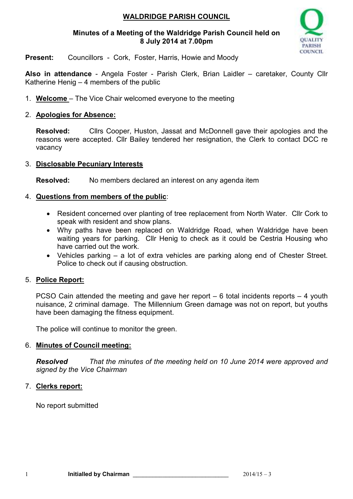## **WALDRIDGE PARISH COUNCIL**

#### **Minutes of a Meeting of the Waldridge Parish Council held on 8 July 2014 at 7.00pm**



**Present:** Councillors - Cork, Foster, Harris, Howie and Moody

**Also in attendance** - Angela Foster - Parish Clerk, Brian Laidler – caretaker, County Cllr Katherine Henig – 4 members of the public

1. **Welcome** – The Vice Chair welcomed everyone to the meeting

### 2. **Apologies for Absence:**

**Resolved:** Cllrs Cooper, Huston, Jassat and McDonnell gave their apologies and the reasons were accepted. Cllr Bailey tendered her resignation, the Clerk to contact DCC re vacancy

#### 3. **Disclosable Pecuniary Interests**

**Resolved:** No members declared an interest on any agenda item

### 4. **Questions from members of the public**:

- Resident concerned over planting of tree replacement from North Water. Cllr Cork to speak with resident and show plans.
- Why paths have been replaced on Waldridge Road, when Waldridge have been waiting years for parking. Cllr Henig to check as it could be Cestria Housing who have carried out the work.
- Vehicles parking a lot of extra vehicles are parking along end of Chester Street. Police to check out if causing obstruction.

### 5. **Police Report:**

PCSO Cain attended the meeting and gave her report – 6 total incidents reports – 4 youth nuisance, 2 criminal damage. The Millennium Green damage was not on report, but youths have been damaging the fitness equipment.

The police will continue to monitor the green.

### 6. **Minutes of Council meeting:**

*Resolved That the minutes of the meeting held on 10 June 2014 were approved and signed by the Vice Chairman* 

### 7. **Clerks report:**

No report submitted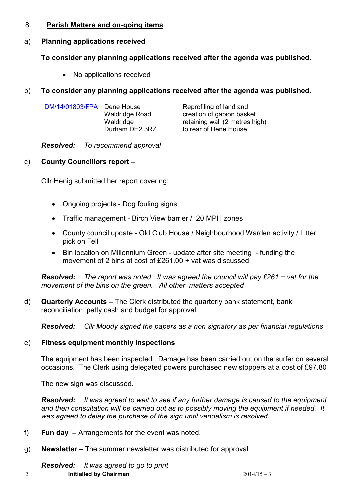#### 8. **Parish Matters and on-going items**

# a) **Planning applications received**

# **To consider any planning applications received after the agenda was published.**

• No applications received

# b) **To consider any planning applications received after the agenda was published.**

| DM/14/01803/FPA Dene House | <b>Waldridge Road</b>       | Reprofiling of land and<br>creation of gabion basket    |
|----------------------------|-----------------------------|---------------------------------------------------------|
|                            | Waldridge<br>Durham DH2 3RZ | retaining wall (2 metres high)<br>to rear of Dene House |

*Resolved: To recommend approval* 

# c) **County Councillors report –**

Cllr Henig submitted her report covering:

- Ongoing projects Dog fouling signs
- Traffic management Birch View barrier / 20 MPH zones
- County council update Old Club House / Neighbourhood Warden activity / Litter pick on Fell
- Bin location on Millennium Green update after site meeting funding the movement of 2 bins at cost of £261.00 + vat was discussed

*Resolved: The report was noted. It was agreed the council will pay £261 + vat for the movement of the bins on the green. All other matters accepted* 

d) **Quarterly Accounts –** The Clerk distributed the quarterly bank statement, bank reconciliation, petty cash and budget for approval.

*Resolved: Cllr Moody signed the papers as a non signatory as per financial regulations*

# e) **Fitness equipment monthly inspections**

The equipment has been inspected. Damage has been carried out on the surfer on several occasions. The Clerk using delegated powers purchased new stoppers at a cost of £97.80

The new sign was discussed.

*Resolved: It was agreed to wait to see if any further damage is caused to the equipment and then consultation will be carried out as to possibly moving the equipment if needed. It was agreed to delay the purchase of the sign until vandalism is resolved.* 

- f) **Fun day** Arrangements for the event was noted.
- g) **Newsletter** The summer newsletter was distributed for approval

*Resolved: It was agreed to go to print*

2 **Initialled by Chairman** \_\_\_\_\_\_\_\_\_\_\_\_\_\_\_\_\_\_\_\_\_\_\_\_\_\_\_\_\_ 2014/15 – 3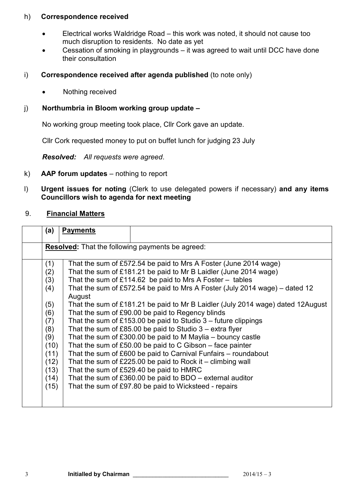#### h) **Correspondence received**

- Electrical works Waldridge Road this work was noted, it should not cause too much disruption to residents. No date as yet
- Cessation of smoking in playgrounds it was agreed to wait until DCC have done their consultation
- i) **Correspondence received after agenda published** (to note only)
	- Nothing received

#### j) **Northumbria in Bloom working group update –**

No working group meeting took place, Cllr Cork gave an update.

Cllr Cork requested money to put on buffet lunch for judging 23 July

*Resolved: All requests were agreed*.

- k) **AAP forum updates**  nothing to report
- l) **Urgent issues for noting** (Clerk to use delegated powers if necessary) **and any items Councillors wish to agenda for next meeting**

#### 9. **Financial Matters**

| (a)                                                                                                         | <b>Payments</b> |                                                                                                                                                                                                                                                                                                                                                                                                                                                                                                                                                                                                                                                                                                                                                                                                                                                                                                                                                                                                 |  |  |
|-------------------------------------------------------------------------------------------------------------|-----------------|-------------------------------------------------------------------------------------------------------------------------------------------------------------------------------------------------------------------------------------------------------------------------------------------------------------------------------------------------------------------------------------------------------------------------------------------------------------------------------------------------------------------------------------------------------------------------------------------------------------------------------------------------------------------------------------------------------------------------------------------------------------------------------------------------------------------------------------------------------------------------------------------------------------------------------------------------------------------------------------------------|--|--|
| <b>Resolved:</b> That the following payments be agreed:                                                     |                 |                                                                                                                                                                                                                                                                                                                                                                                                                                                                                                                                                                                                                                                                                                                                                                                                                                                                                                                                                                                                 |  |  |
| (1)<br>(2)<br>(3)<br>(4)<br>(5)<br>(6)<br>(7)<br>(8)<br>(9)<br>(10)<br>(11)<br>(12)<br>(13)<br>(14)<br>(15) | August          | That the sum of £572.54 be paid to Mrs A Foster (June 2014 wage)<br>That the sum of £181.21 be paid to Mr B Laidler (June 2014 wage)<br>That the sum of £114.62 be paid to Mrs A Foster $-$ tables<br>That the sum of £572.54 be paid to Mrs A Foster (July 2014 wage) – dated 12<br>That the sum of £181.21 be paid to Mr B Laidler (July 2014 wage) dated 12August<br>That the sum of £90.00 be paid to Regency blinds<br>That the sum of £153.00 be paid to Studio $3$ – future clippings<br>That the sum of £85.00 be paid to Studio $3 -$ extra flyer<br>That the sum of $£300.00$ be paid to M Maylia – bouncy castle<br>That the sum of £50.00 be paid to $C$ Gibson – face painter<br>That the sum of £600 be paid to Carnival Funfairs – roundabout<br>That the sum of $£225.00$ be paid to Rock it – climbing wall<br>That the sum of £529.40 be paid to HMRC<br>That the sum of $£360.00$ be paid to BDO – external auditor<br>That the sum of £97.80 be paid to Wicksteed - repairs |  |  |